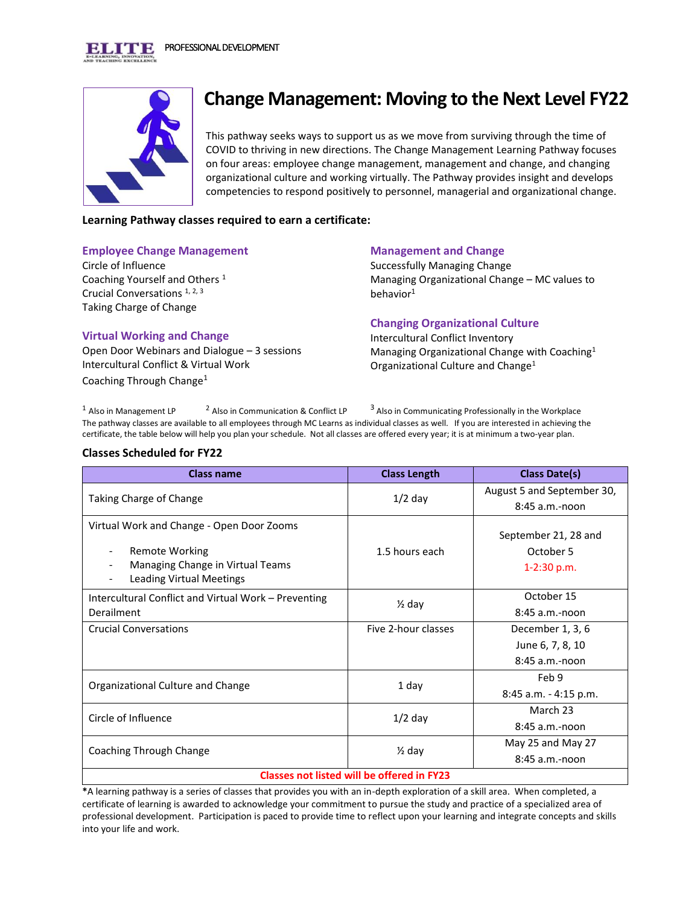

# **Change Management: Moving to the Next Level FY22**

This pathway seeks ways to support us as we move from surviving through the time of COVID to thriving in new directions. The Change Management Learning Pathway focuses on four areas: employee change management, management and change, and changing organizational culture and working virtually. The Pathway provides insight and develops competencies to respond positively to personnel, managerial and organizational change.

## **Learning Pathway classes required to earn a certificate:**

#### **Employee Change Management**

Circle of Influence Coaching Yourself and Others <sup>1</sup> Crucial Conversations 1, 2, 3 Taking Charge of Change

### **Management and Change**

Successfully Managing Change Managing Organizational Change – MC values to behavior $1$ 

### **Virtual Working and Change**

Open Door Webinars and Dialogue – 3 sessions Intercultural Conflict & Virtual Work Coaching Through Change<sup>1</sup>

### **Changing Organizational Culture**

Intercultural Conflict Inventory Managing Organizational Change with Coaching<sup>1</sup> Organizational Culture and Change<sup>1</sup>

<sup>1</sup> Also in Management LP  $2$  Also in Communication & Conflict LP <sup>3</sup> Also in Communicating Professionally in the Workplace The pathway classes are available to all employees through MC Learns as individual classes as well. If you are interested in achieving the certificate, the table below will help you plan your schedule. Not all classes are offered every year; it is at minimum a two-year plan.

#### **Classes Scheduled for FY22**

| <b>Class name</b>                                                                                                                  | <b>Class Length</b> | <b>Class Date(s)</b>                               |  |
|------------------------------------------------------------------------------------------------------------------------------------|---------------------|----------------------------------------------------|--|
| Taking Charge of Change                                                                                                            | $1/2$ day           | August 5 and September 30,                         |  |
|                                                                                                                                    |                     | $8:45$ a.m.-noon                                   |  |
| Virtual Work and Change - Open Door Zooms<br><b>Remote Working</b><br>$\overline{\phantom{a}}$<br>Managing Change in Virtual Teams | 1.5 hours each      | September 21, 28 and<br>October 5<br>$1-2:30 p.m.$ |  |
| <b>Leading Virtual Meetings</b>                                                                                                    |                     |                                                    |  |
| Intercultural Conflict and Virtual Work - Preventing                                                                               | $\frac{1}{2}$ day   | October 15                                         |  |
| Derailment                                                                                                                         |                     | $8:45$ a.m.-noon                                   |  |
| <b>Crucial Conversations</b>                                                                                                       | Five 2-hour classes | December 1, 3, 6                                   |  |
|                                                                                                                                    |                     | June 6, 7, 8, 10                                   |  |
|                                                                                                                                    |                     | $8:45$ a.m.-noon                                   |  |
| Organizational Culture and Change                                                                                                  | 1 day               | Feb 9                                              |  |
|                                                                                                                                    |                     | 8:45 a.m. - 4:15 p.m.                              |  |
| Circle of Influence                                                                                                                | $1/2$ day           | March 23                                           |  |
|                                                                                                                                    |                     | $8:45$ a.m.-noon                                   |  |
| Coaching Through Change                                                                                                            | $\frac{1}{2}$ day   | May 25 and May 27                                  |  |
|                                                                                                                                    |                     | $8:45$ a.m.-noon                                   |  |
| <b>Classes not listed will be offered in FY23</b>                                                                                  |                     |                                                    |  |

**\***A learning pathway is a series of classes that provides you with an in-depth exploration of a skill area. When completed, a certificate of learning is awarded to acknowledge your commitment to pursue the study and practice of a specialized area of professional development. Participation is paced to provide time to reflect upon your learning and integrate concepts and skills into your life and work.